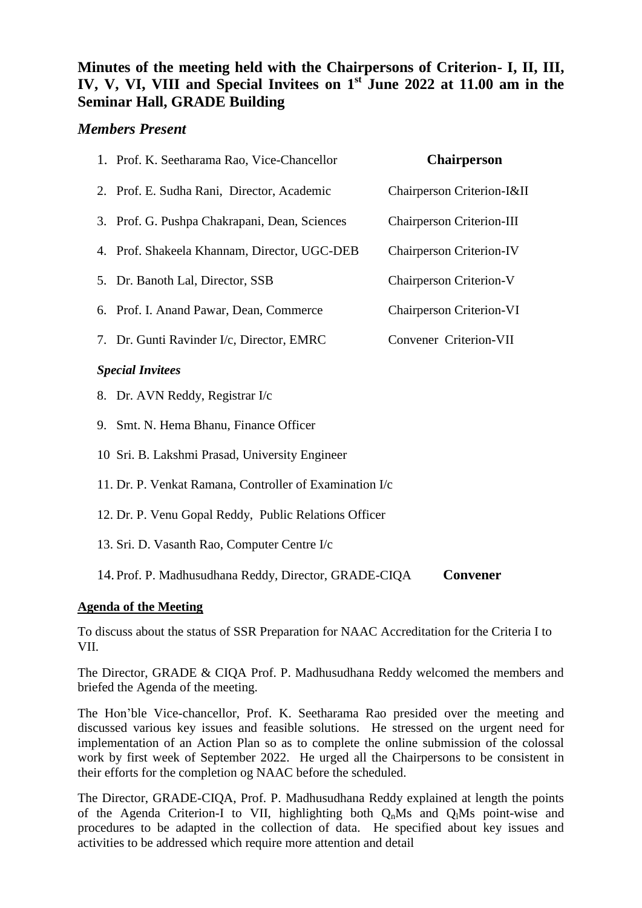## **Minutes of the meeting held with the Chairpersons of Criterion- I, II, III, IV, V, VI, VIII and Special Invitees on 1st June 2022 at 11.00 am in the Seminar Hall, GRADE Building**

## *Members Present*

|                         | 1. Prof. K. Seetharama Rao, Vice-Chancellor   | <b>Chairperson</b>               |
|-------------------------|-----------------------------------------------|----------------------------------|
|                         | 2. Prof. E. Sudha Rani, Director, Academic    | Chairperson Criterion-I&II       |
|                         | 3. Prof. G. Pushpa Chakrapani, Dean, Sciences | <b>Chairperson Criterion-III</b> |
|                         | 4. Prof. Shakeela Khannam, Director, UGC-DEB  | <b>Chairperson Criterion-IV</b>  |
|                         | 5. Dr. Banoth Lal, Director, SSB              | <b>Chairperson Criterion-V</b>   |
|                         | 6. Prof. I. Anand Pawar, Dean, Commerce       | <b>Chairperson Criterion-VI</b>  |
|                         | 7. Dr. Gunti Ravinder I/c, Director, EMRC     | Convener Criterion-VII           |
| <b>Special Invitees</b> |                                               |                                  |
|                         | 8. Dr. AVN Reddy, Registrar I/c               |                                  |

- 
- 9. Smt. N. Hema Bhanu, Finance Officer
- 10 Sri. B. Lakshmi Prasad, University Engineer
- 11. Dr. P. Venkat Ramana, Controller of Examination I/c
- 12. Dr. P. Venu Gopal Reddy, Public Relations Officer
- 13. Sri. D. Vasanth Rao, Computer Centre I/c

14. Prof. P. Madhusudhana Reddy, Director, GRADE-CIQA **Convener**

## **Agenda of the Meeting**

To discuss about the status of SSR Preparation for NAAC Accreditation for the Criteria I to VII.

The Director, GRADE & CIQA Prof. P. Madhusudhana Reddy welcomed the members and briefed the Agenda of the meeting.

The Hon'ble Vice-chancellor, Prof. K. Seetharama Rao presided over the meeting and discussed various key issues and feasible solutions. He stressed on the urgent need for implementation of an Action Plan so as to complete the online submission of the colossal work by first week of September 2022. He urged all the Chairpersons to be consistent in their efforts for the completion og NAAC before the scheduled.

The Director, GRADE-CIQA, Prof. P. Madhusudhana Reddy explained at length the points of the Agenda Criterion-I to VII, highlighting both  $O_nM_s$  and  $O_lM_s$  point-wise and procedures to be adapted in the collection of data. He specified about key issues and activities to be addressed which require more attention and detail